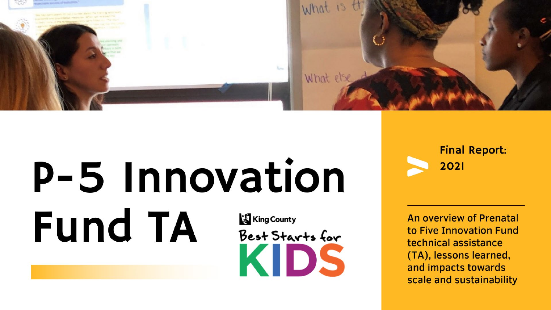

# P-5 Innovation **Fund TA King County** Best Starts for KIDS

**Final Report:** 2021

An overview of Prenatal to Five Innovation Fund technical assistance (TA), lessons learned, and impacts towards scale and sustainability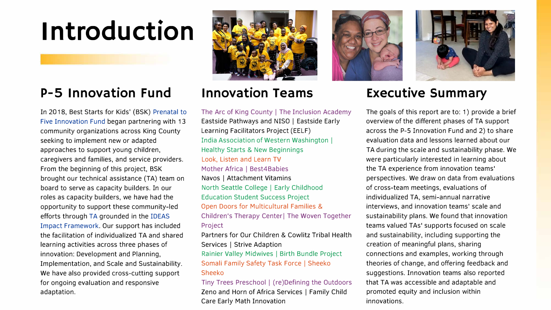# **Introduction**

# **P-5 Innovation Fund**

[In 2018, Best Starts for Kids' \(BSK\) Prenatal to](https://beststartsblog.com/2018/10/26/science-based-innovation-innovation-fund-award-announcement/)  Five Innovation Fund began partnering with 13 community organizations across King County seeking to implement new or adapted approaches to support young children, caregivers and families, and service providers. From the beginning of this project, BSK brought our technical assistance (TA) team on board to serve as capacity builders. In our roles as capacity builders, we have had the opportunity to support these community-led efforts through [TA](https://beststartsblog.com/2019/10/30/best-starts-capacity-building-a-shared-process/) grounded in the IDEAS [Impact Framework.](https://developingchild.harvard.edu/innovation-application/innovation-approach/guiding-principles/) Our support has included the facilitation of individualized TA and shared learning activities across three phases of innovation: Development and Planning, Implementation, and Scale and Sustainability. We have also provided cross-cutting support for ongoing evaluation and responsive adaptation.



# **Innovation Teams**

The Arc of King County | The Inclusion Academy Eastside Pathways and NISO | Eastside Early Learning Facilitators Project (EELF) India Association of Western Washington I Healthy Starts & New Beginnings Look, Listen and Learn TV Mother Africa | Best4Babies Navas I Attachment Vitamins North Seattle College I Early Childhood Education Student Success Project Open Doors for Multicultural Families & Children's Therapy Center! The Woven Together Project

Partners for Our Children & Cowlitz Tribal Health Services | Strive Adaption

Rainier Valley Midwives | Birth Bundle Project Somali Family Safety Task Force I Sheeko Sheeko

Tiny Trees Preschool | (re)Defining the Outdoors Zeno and Horn of Africa Services | Family Child Care Early Math Innovation





# **Executive Summary**

The goals of this report are to: 1) provide a brief overview of the different phases of TA support across the P-5 Innovation Fund and 2) to share evaluation data and lessons learned about our TA during the scale and sustainability phase. We were particularly interested in learning about the TA experience from innovation teams' perspectives. We draw on data from evaluations of cross-team meetings, evaluations of individualized TA, semi-annual narrative interviews, and innovation teams' scale and sustainability plans. We found that innovation teams valued TAs' supports focused on scale and sustainability, including supporting the creation of meaningful plans, sharing connections and examples, working through theories of change, and offering feedback and suggestions. Innovation teams also reported that TA was accessible and adaptable and promoted equity and inclusion within innovations.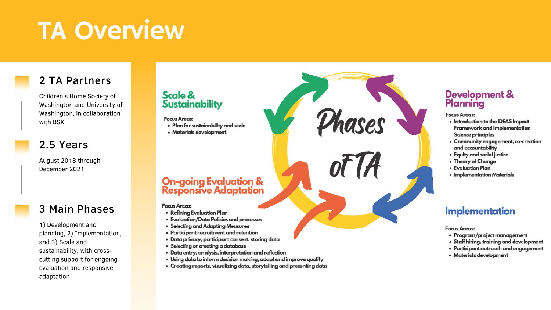# **TA Overview**

# 2 TA Partners

Children's Home Society of Washington and University of Washington, in collaboration with BSK

## 2.5 Years

August 2018 through December 2021

## 3 Main Phases

1) Development and planning, 2) Implementation, and 3) Scale and sustainability, with crosscutting support for ongoing evaluation and responsive adaptation

### Scale & **Sustainability**

#### **Focus Areas:**

- · Plan for sustainability and scale
- · Materials development

# **On-going Evaluation &**<br>Responsive Adaptation

#### **Focus Areas:**

- Refining Evaluation Plan
- · Evaluation/Data Policies and processes
- · Selecting and Adapting Measures
- · Participant recruitment and retention
- · Data privacy, participant consent, storing data
- · Selecting or creating a database
- · Data entry, analysis, interpretation and reflection
- · Using data to inform ded sion making, adapt and improve quality
- · Creating reports, visualizing data, storytelling and presenting data

# Development &<br>Planning

#### **Focus Areas:**

Phases

of *A* 

- . Introduction to the IDEAS Impact Framework and Implementation Science principles
- Community engagement, co-creation and accountability
- Equity and social justice
- Theory of Change
- Evaluation Plan
- · Implementation Materials

## **Implementation**

#### **Focus Areas:**

- Program/project management
- · Staff hiring, training and development
- · Participant outreach and engagement
- Materials development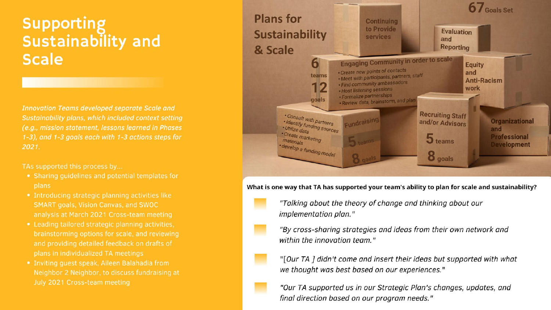# Supporting<br>Sustainability and **Scale**

**Innovation Teams developed separate Scale and** Sustainability plans, which included context setting (e.g., mission statement, lessons learned in Phases 1-3), and 1-3 goals each with 1-3 actions steps for 2021.

TAs supported this process by...

- Sharing quidelines and potential templates for plans
- Introducing strategic planning activities like **SMART goals, Vision Canvas, and SWOC** analysis at March 2021 Cross-team meeting
- Leading tailored strategic planning activities, brainstorming options for scale, and reviewing and providing detailed feedback on drafts of plans in individualized TA meetings
- · Inviting quest speak, Aileen Balahadia from Neighbor 2 Neighbor, to discuss fundraising at July 2021 Cross-team meeting



What is one way that TA has supported your team's ability to plan for scale and sustainability?

"Talking about the theory of change and thinking about our implementation plan."

"By cross-sharing strategies and ideas from their own network and within the innovation team."

"[Our TA ] didn't come and insert their ideas but supported with what we thought was best based on our experiences."

"Our TA supported us in our Strategic Plan's changes, updates, and final direction based on our program needs."